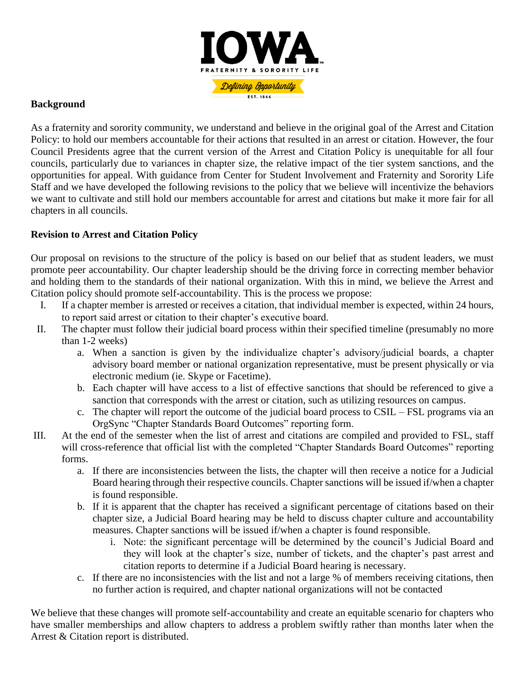

## **Background**

As a fraternity and sorority community, we understand and believe in the original goal of the Arrest and Citation Policy: to hold our members accountable for their actions that resulted in an arrest or citation. However, the four Council Presidents agree that the current version of the Arrest and Citation Policy is unequitable for all four councils, particularly due to variances in chapter size, the relative impact of the tier system sanctions, and the opportunities for appeal. With guidance from Center for Student Involvement and Fraternity and Sorority Life Staff and we have developed the following revisions to the policy that we believe will incentivize the behaviors we want to cultivate and still hold our members accountable for arrest and citations but make it more fair for all chapters in all councils.

## **Revision to Arrest and Citation Policy**

Our proposal on revisions to the structure of the policy is based on our belief that as student leaders, we must promote peer accountability. Our chapter leadership should be the driving force in correcting member behavior and holding them to the standards of their national organization. With this in mind, we believe the Arrest and Citation policy should promote self-accountability. This is the process we propose:

- I. If a chapter member is arrested or receives a citation, that individual member is expected, within 24 hours, to report said arrest or citation to their chapter's executive board.
- II. The chapter must follow their judicial board process within their specified timeline (presumably no more than 1-2 weeks)
	- a. When a sanction is given by the individualize chapter's advisory/judicial boards, a chapter advisory board member or national organization representative, must be present physically or via electronic medium (ie. Skype or Facetime).
	- b. Each chapter will have access to a list of effective sanctions that should be referenced to give a sanction that corresponds with the arrest or citation, such as utilizing resources on campus.
	- c. The chapter will report the outcome of the judicial board process to CSIL FSL programs via an OrgSync "Chapter Standards Board Outcomes" reporting form.
- III. At the end of the semester when the list of arrest and citations are compiled and provided to FSL, staff will cross-reference that official list with the completed "Chapter Standards Board Outcomes" reporting forms.
	- a. If there are inconsistencies between the lists, the chapter will then receive a notice for a Judicial Board hearing through their respective councils. Chapter sanctions will be issued if/when a chapter is found responsible.
	- b. If it is apparent that the chapter has received a significant percentage of citations based on their chapter size, a Judicial Board hearing may be held to discuss chapter culture and accountability measures. Chapter sanctions will be issued if/when a chapter is found responsible.
		- i. Note: the significant percentage will be determined by the council's Judicial Board and they will look at the chapter's size, number of tickets, and the chapter's past arrest and citation reports to determine if a Judicial Board hearing is necessary.
	- c. If there are no inconsistencies with the list and not a large % of members receiving citations, then no further action is required, and chapter national organizations will not be contacted

We believe that these changes will promote self-accountability and create an equitable scenario for chapters who have smaller memberships and allow chapters to address a problem swiftly rather than months later when the Arrest & Citation report is distributed.